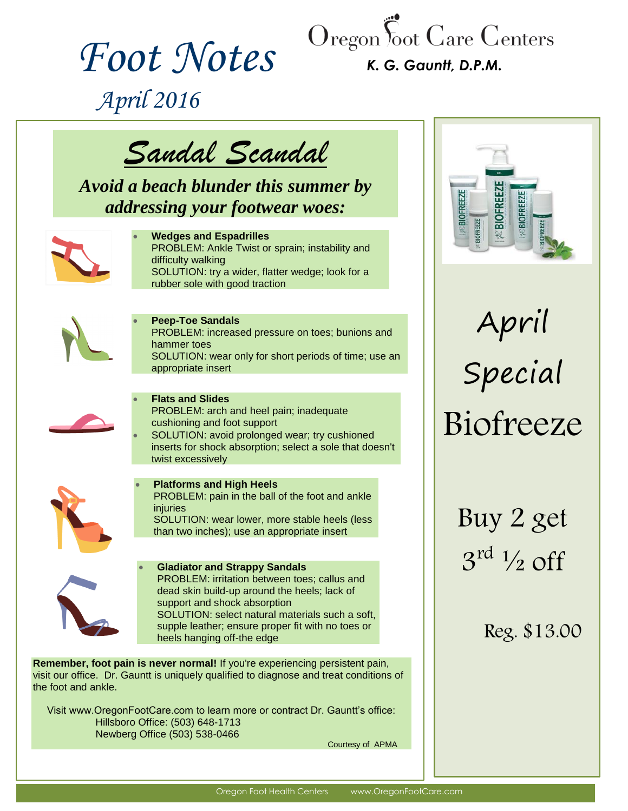

# *Foot Notes*

*K. G. Gauntt, D.P.M.*

 *April 2016*



*Avoid a beach blunder this summer by addressing your footwear woes:*



#### **Wedges and Espadrilles** PROBLEM: Ankle Twist or sprain; instability and difficulty walking SOLUTION: try a wider, flatter wedge; look for a

rubber sole with good traction



## **Peep-Toe Sandals**

PROBLEM: increased pressure on toes; bunions and hammer toes

SOLUTION: wear only for short periods of time; use an appropriate insert



### **Flats and Slides**

PROBLEM: arch and heel pain; inadequate cushioning and foot support

 SOLUTION: avoid prolonged wear; try cushioned inserts for shock absorption; select a sole that doesn't twist excessively



## **Platforms and High Heels**

PROBLEM: pain in the ball of the foot and ankle injuries SOLUTION: wear lower, more stable heels (less than two inches); use an appropriate insert



#### **Gladiator and Strappy Sandals** PROBLEM: irritation between toes; callus and dead skin build-up around the heels; lack of support and shock absorption SOLUTION: select natural materials such a soft, supple leather; ensure proper fit with no toes or heels hanging off-the edge

**Remember, foot pain is never normal!** If you're experiencing persistent pain, visit our office. Dr. Gauntt is uniquely qualified to diagnose and treat conditions of the foot and ankle.

Visit www.OregonFootCare.com to learn more or contract Dr. Gauntt's office: Hillsboro Office: (503) 648-1713 Newberg Office (503) 538-0466

Courtesy of APMA



April Special Biofreeze

Buy 2 get  $3^{\text{rd}}$   $\frac{1}{2}$  off

Reg. \$13.00